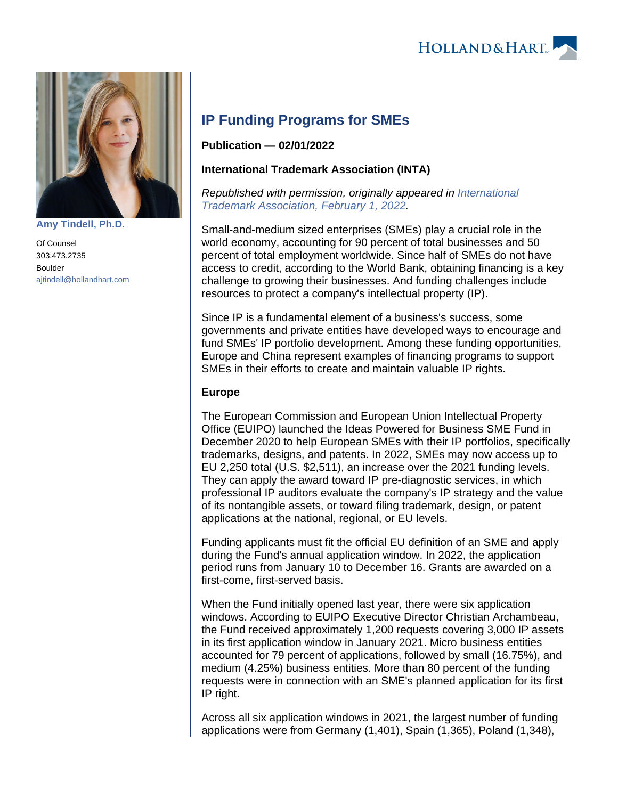



**[Amy Tindell, Ph.D.](https://www.hollandhart.com/34128)**

Of Counsel 303.473.2735 Boulder [ajtindell@hollandhart.com](mailto:ajtindell@hollandhart.com)

## **IP Funding Programs for SMEs**

**Publication — 02/01/2022**

## **International Trademark Association (INTA)**

Republished with permission, originally appeared in [International](https://www.inta.org/perspectives/ip-funding-programs-for-smes/)  [Trademark Association, February 1, 2022](https://www.inta.org/perspectives/ip-funding-programs-for-smes/).

Small-and-medium sized enterprises (SMEs) play a crucial role in the world economy, accounting for 90 percent of total businesses and 50 percent of total employment worldwide. Since half of SMEs do not have access to credit, according to the World Bank, obtaining financing is a key challenge to growing their businesses. And funding challenges include resources to protect a company's intellectual property (IP).

Since IP is a fundamental element of a business's success, some governments and private entities have developed ways to encourage and fund SMEs' IP portfolio development. Among these funding opportunities, Europe and China represent examples of financing programs to support SMEs in their efforts to create and maintain valuable IP rights.

## **Europe**

The European Commission and European Union Intellectual Property Office (EUIPO) launched the Ideas Powered for Business SME Fund in December 2020 to help European SMEs with their IP portfolios, specifically trademarks, designs, and patents. In 2022, SMEs may now access up to EU 2,250 total (U.S. \$2,511), an increase over the 2021 funding levels. They can apply the award toward IP pre-diagnostic services, in which professional IP auditors evaluate the company's IP strategy and the value of its nontangible assets, or toward filing trademark, design, or patent applications at the national, regional, or EU levels.

Funding applicants must fit the official EU definition of an SME and apply during the Fund's annual application window. In 2022, the application period runs from January 10 to December 16. Grants are awarded on a first-come, first-served basis.

When the Fund initially opened last year, there were six application windows. According to EUIPO Executive Director Christian Archambeau, the Fund received approximately 1,200 requests covering 3,000 IP assets in its first application window in January 2021. Micro business entities accounted for 79 percent of applications, followed by small (16.75%), and medium (4.25%) business entities. More than 80 percent of the funding requests were in connection with an SME's planned application for its first IP right.

Across all six application windows in 2021, the largest number of funding applications were from Germany (1,401), Spain (1,365), Poland (1,348),